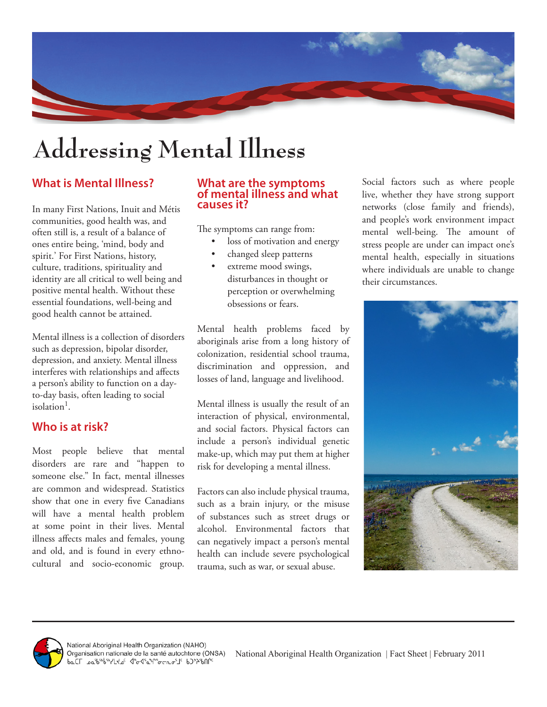

# **Addressing Mental Illness**

## **What is Mental Illness?**

In many First Nations, Inuit and Métis communities, good health was, and often still is, a result of a balance of ones entire being, 'mind, body and spirit.' For First Nations, history, culture, traditions, spirituality and identity are all critical to well being and positive mental health. Without these essential foundations, well-being and good health cannot be attained.

Mental illness is a collection of disorders such as depression, bipolar disorder, depression, and anxiety. Mental illness interferes with relationships and affects a person's ability to function on a dayto-day basis, often leading to social isolation1.

### **Who is at risk?**

Most people believe that mental disorders are rare and "happen to someone else." In fact, mental illnesses are common and widespread. Statistics show that one in every five Canadians will have a mental health problem at some point in their lives. Mental illness affects males and females, young and old, and is found in every ethnocultural and socio-economic group.

#### **What are the symptoms of mental illness and what causes it?**

The symptoms can range from:

- loss of motivation and energy
- changed sleep patterns
- extreme mood swings, disturbances in thought or perception or overwhelming obsessions or fears.

Mental health problems faced by aboriginals arise from a long history of colonization, residential school trauma, discrimination and oppression, and losses of land, language and livelihood.

Mental illness is usually the result of an interaction of physical, environmental, and social factors. Physical factors can include a person's individual genetic make-up, which may put them at higher risk for developing a mental illness.

Factors can also include physical trauma, such as a brain injury, or the misuse of substances such as street drugs or alcohol. Environmental factors that can negatively impact a person's mental health can include severe psychological trauma, such as war, or sexual abuse.

Social factors such as where people live, whether they have strong support networks (close family and friends), and people's work environment impact mental well-being. The amount of stress people are under can impact one's mental health, especially in situations where individuals are unable to change their circumstances.